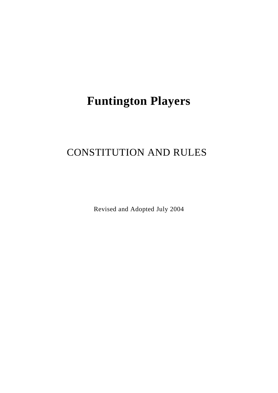# **Funtington Players**

# CONSTITUTION AND RULES

Revised and Adopted July 2004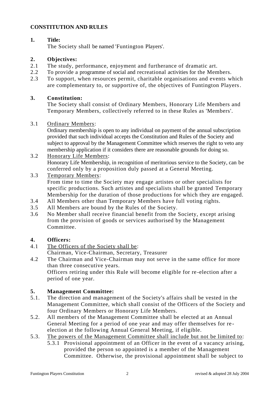# **CONSTITUTION AND RULES**

# **1. Title:**

The Society shall be named 'Funtington Players'.

## **2. Objectives:**

- 2.1 The study, performance, enjoyment and furtherance of dramatic art.
- 2.2 To provide a programme of social and recreational activities for the Members.
- 2.3 To support, when resources permit, charitable organisations and events which are complementary to, or supportive of, the objectives of Funtington Players.

# **3. Constitution:**

The Society shall consist of Ordinary Members, Honorary Life Members and Temporary Members, collectively referred to in these Rules as 'Members'.

#### 3.1 Ordinary Members:

Ordinary membership is open to any individual on payment of the annual subscription provided that such individual accepts the Constitution and Rules of the Society and subject to approval by the Management Committee which reserves the right to veto any membership application if it considers there are reasonable grounds for doing so.

- 3.2 Honorary Life Members: Honorary Life Membership, in recognition of meritorious service to the Society, can be conferred only by a proposition duly passed at a General Meeting.
- 3.3 Temporary Members: From time to time the Society may engage artistes or other specialists for specific productions. Such artistes and specialists shall be granted Temporary Membership for the duration of those productions for which they are engaged.
- 3.4 All Members other than Temporary Members have full voting rights.
- 3.5 All Members are bound by the Rules of the Society.
- 3.6 No Member shall receive financial benefit from the Society, except arising from the provision of goods or services authorised by the Management Committee.

#### **4. Officers:**

- 4.1 The Officers of the Society shall be:
	- Chairman, Vice-Chairman, Secretary, Treasurer
- 4.2 The Chairman and Vice-Chairman may not serve in the same office for more than three consecutive years. Officers retiring under this Rule will become eligible for re -election after a period of one year.

#### **5. Management Committee:**

- 5.1. The direction and management of the Society's affairs shall be vested in the Management Committee, which shall consist of the Officers of the Society and four Ordinary Members or Honorary Life Members.
- 5.2. All members of the Management Committee shall be elected at an Annual General Meeting for a period of one year and may offer themselves for re election at the following Annual General Meeting, if eligible.
- 5.3. The powers of the Management Committee shall include but not be limited to:
	- 5.3.1 Provisional appointment of an Officer in the event of a vacancy arising, provided the person so appointed is a member of the Management Committee. Otherwise, the provisional appointment shall be subject to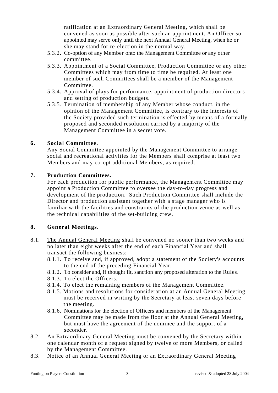ratification at an Extraordinary General Meeting, which shall be convened as soon as possible after such an appointment. An Officer so appointed may serve only until the next Annual General Meeting, when he or she may stand for re-election in the normal way.

- 5.3.2. Co-option of any Member onto the Management Committee or any other committee.
- 5.3.3. Appointment of a Social Committee, Production Committee or any other Committees which may from time to time be required. At least one member of such Committees shall be a member of the Management Committee.
- 5.3.4. Approval of plays for performance, appointment of production directors and setting of production budgets.
- 5.3.5. Termination of membership of any Member whose conduct, in the opinion of the Management Committee, is contrary to the interests of the Society provided such termination is effected by means of a formally proposed and seconded resolution carried by a majority of the Management Committee in a secret vote.

#### **6. Social Committee.**

Any Social Committee appointed by the Management Committee to arrange social and recreational activities for the Members shall comprise at least two Members and may co-opt additional Members, as required.

#### **7. Production Committees.**

For each production for public performance, the Management Committee may appoint a Production Committee to oversee the day-to-day progress and development of the production. Such Production Committee shall include the Director and production assistant together with a stage manager who is familiar with the facilities and constraints of the production venue as well as the technical capabilities of the set-building crew.

#### **8. General Meetings.**

- 8.1. The Annual General Meeting shall be convened no sooner than two weeks and no later than eight weeks after the end of each Financial Year and shall transact the following business:
	- 8.1.1. To receive and, if approved, adopt a statement of the Society's accounts to the end of the preceding Financial Year.
	- 8.1.2. To consider and, if thought fit, sanction any proposed alteration to the Rules.
	- 8.1.3. To elect the Officers.
	- 8.1.4. To elect the remaining members of the Management Committee.
	- 8.1.5. Motions and resolutions for consideration at an Annual General Meeting must be received in writing by the Secretary at least seven days before the meeting.
	- 8.1.6. Nominations for the election of Officers and members of the Management Committee may be made from the floor at the Annual General Meeting, but must have the agreement of the nominee and the support of a seconder.
- 8.2. An Extraordinary General Meeting must be convened by the Secretary within one calendar month of a request signed by twelve or more Members, or called by the Management Committee.
- 8.3. Notice of an Annual General Meeting or an Extraordinary General Meeting